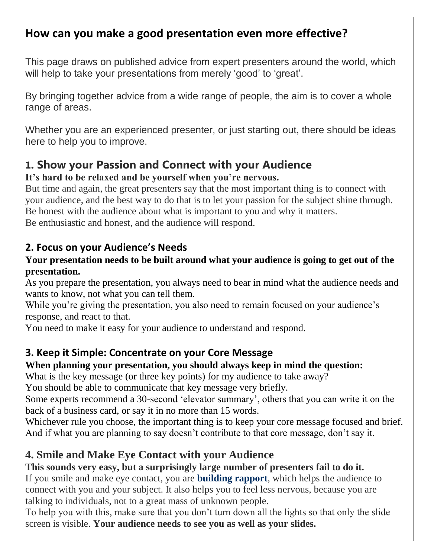## **How can you make a good presentation even more effective?**

This page draws on published advice from expert presenters around the world, which will help to take your presentations from merely 'good' to 'great'.

By bringing together advice from a wide range of people, the aim is to cover a whole range of areas.

Whether you are an experienced presenter, or just starting out, there should be ideas here to help you to improve.

## **1. Show your Passion and Connect with your Audience**

#### **It's hard to be relaxed and be yourself when you're nervous.**

But time and again, the great presenters say that the most important thing is to connect with your audience, and the best way to do that is to let your passion for the subject shine through. Be honest with the audience about what is important to you and why it matters. Be enthusiastic and honest, and the audience will respond.

### **2. Focus on your Audience's Needs**

#### **Your presentation needs to be built around what your audience is going to get out of the presentation.**

As you prepare the presentation, you always need to bear in mind what the audience needs and wants to know, not what you can tell them.

While you're giving the presentation, you also need to remain focused on your audience's response, and react to that.

You need to make it easy for your audience to understand and respond.

### **3. Keep it Simple: Concentrate on your Core Message**

#### **When planning your presentation, you should always keep in mind the question:**

What is the key message (or three key points) for my audience to take away?

You should be able to communicate that key message very briefly.

Some experts recommend a 30-second 'elevator summary', others that you can write it on the back of a business card, or say it in no more than 15 words.

Whichever rule you choose, the important thing is to keep your core message focused and brief. And if what you are planning to say doesn't contribute to that core message, don't say it.

### **4. Smile and Make Eye Contact with your Audience**

### **This sounds very easy, but a surprisingly large number of presenters fail to do it.**

If you smile and make eye contact, you are **[building rapport](https://www.skillsyouneed.com/ips/rapport.html)**, which helps the audience to connect with you and your subject. It also helps you to feel less nervous, because you are talking to individuals, not to a great mass of unknown people.

To help you with this, make sure that you don't turn down all the lights so that only the slide screen is visible. **Your audience needs to see you as well as your slides.**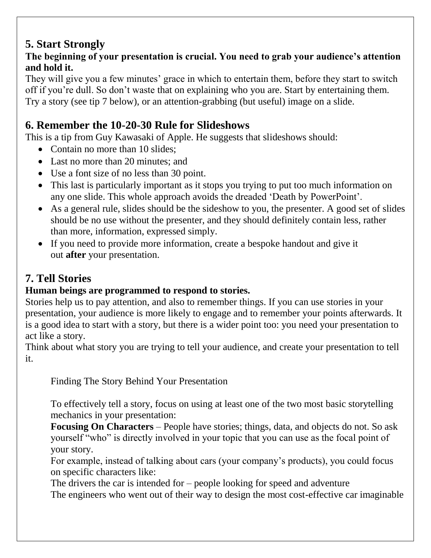# **5. Start Strongly**

### **The beginning of your presentation is crucial. You need to grab your audience's attention and hold it.**

They will give you a few minutes' grace in which to entertain them, before they start to switch off if you're dull. So don't waste that on explaining who you are. Start by entertaining them. Try a story (see tip 7 below), or an attention-grabbing (but useful) image on a slide.

# **6. Remember the 10-20-30 Rule for Slideshows**

This is a tip from Guy Kawasaki of Apple. He suggests that slideshows should:

- Contain no more than 10 slides:
- Last no more than 20 minutes; and
- Use a font size of no less than 30 point.
- This last is particularly important as it stops you trying to put too much information on any one slide. This whole approach avoids the dreaded 'Death by PowerPoint'.
- As a general rule, slides should be the sideshow to you, the presenter. A good set of slides should be no use without the presenter, and they should definitely contain less, rather than more, information, expressed simply.
- If you need to provide more information, create a bespoke handout and give it out **after** your presentation.

# **7. Tell Stories**

## **Human beings are programmed to respond to stories.**

Stories help us to pay attention, and also to remember things. If you can use stories in your presentation, your audience is more likely to engage and to remember your points afterwards. It is a good idea to start with a story, but there is a wider point too: you need your presentation to act like a story.

Think about what story you are trying to tell your audience, and create your presentation to tell it.

Finding The Story Behind Your Presentation

To effectively tell a story, focus on using at least one of the two most basic storytelling mechanics in your presentation:

**Focusing On Characters** – People have stories; things, data, and objects do not. So ask yourself "who" is directly involved in your topic that you can use as the focal point of your story.

For example, instead of talking about cars (your company's products), you could focus on specific characters like:

The drivers the car is intended for  $-$  people looking for speed and adventure The engineers who went out of their way to design the most cost-effective car imaginable